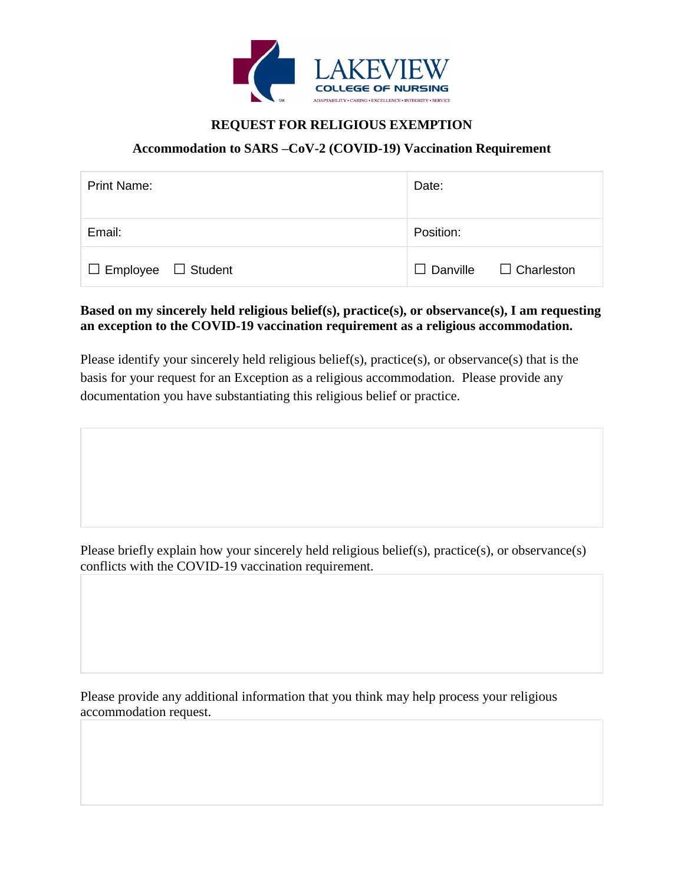

## **REQUEST FOR RELIGIOUS EXEMPTION**

## **Accommodation to SARS –CoV-2 (COVID-19) Vaccination Requirement**

| <b>Print Name:</b>             | Date:                             |
|--------------------------------|-----------------------------------|
| Email:                         | Position:                         |
| $\Box$ Employee $\Box$ Student | $\Box$ Danville $\Box$ Charleston |

## **Based on my sincerely held religious belief(s), practice(s), or observance(s), I am requesting an exception to the COVID-19 vaccination requirement as a religious accommodation.**

Please identify your sincerely held religious belief(s), practice(s), or observance(s) that is the basis for your request for an Exception as a religious accommodation. Please provide any documentation you have substantiating this religious belief or practice.

Please briefly explain how your sincerely held religious belief(s), practice(s), or observance(s) conflicts with the COVID-19 vaccination requirement.

Please provide any additional information that you think may help process your religious accommodation request.